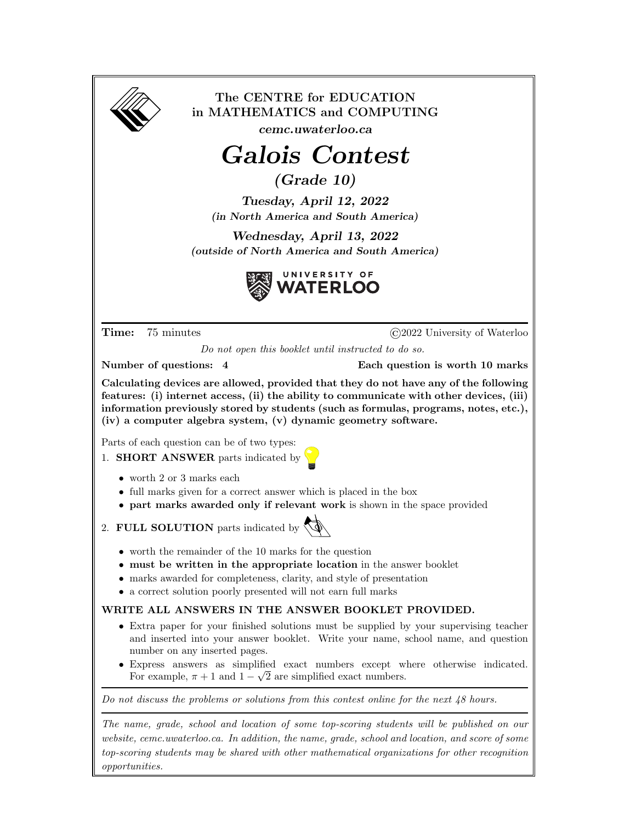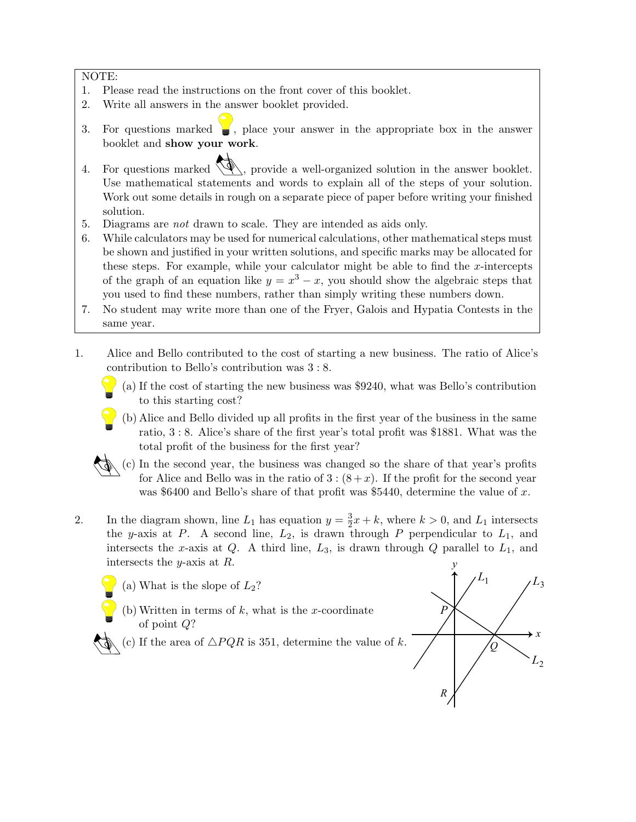NOTE:

- 1. Please read the instructions on the front cover of this booklet.
- 2. Write all answers in the answer booklet provided.
- 3. For questions marked  $\Box$ , place your answer in the appropriate box in the answer booklet and show your work.
- 4. For questions marked  $\mathcal{A}$ , provide a well-organized solution in the answer booklet. Use mathematical statements and words to explain all of the steps of your solution. Work out some details in rough on a separate piece of paper before writing your finished solution.
- 5. Diagrams are not drawn to scale. They are intended as aids only.
- 6. While calculators may be used for numerical calculations, other mathematical steps must be shown and justified in your written solutions, and specific marks may be allocated for these steps. For example, while your calculator might be able to find the  $x$ -intercepts of the graph of an equation like  $y = x^3 - x$ , you should show the algebraic steps that you used to find these numbers, rather than simply writing these numbers down.
- 7. No student may write more than one of the Fryer, Galois and Hypatia Contests in the same year.
- 1. Alice and Bello contributed to the cost of starting a new business. The ratio of Alice's contribution to Bello's contribution was 3 : 8.
	- (a) If the cost of starting the new business was \$9240, what was Bello's contribution to this starting cost?
	- (b) Alice and Bello divided up all profits in the first year of the business in the same ratio, 3 : 8. Alice's share of the first year's total profit was \$1881. What was the total profit of the business for the first year?
	- (c) In the second year, the business was changed so the share of that year's profits for Alice and Bello was in the ratio of  $3:(8+x)$ . If the profit for the second year was \$6400 and Bello's share of that profit was \$5440, determine the value of x.
- 2. In the diagram shown, line  $L_1$  has equation  $y = \frac{3}{2}$  $\frac{3}{2}x + k$ , where  $k > 0$ , and  $L_1$  intersects the y-axis at P. A second line,  $L_2$ , is drawn through P perpendicular to  $L_1$ , and intersects the x-axis at  $Q$ . A third line,  $L_3$ , is drawn through  $Q$  parallel to  $L_1$ , and intersects the y-axis at R.
	- (a) What is the slope of  $L_2$ ?
	- (b) Written in terms of  $k$ , what is the x-coordinate of point Q?
	- (c) If the area of  $\triangle PQR$  is 351, determine the value of k.

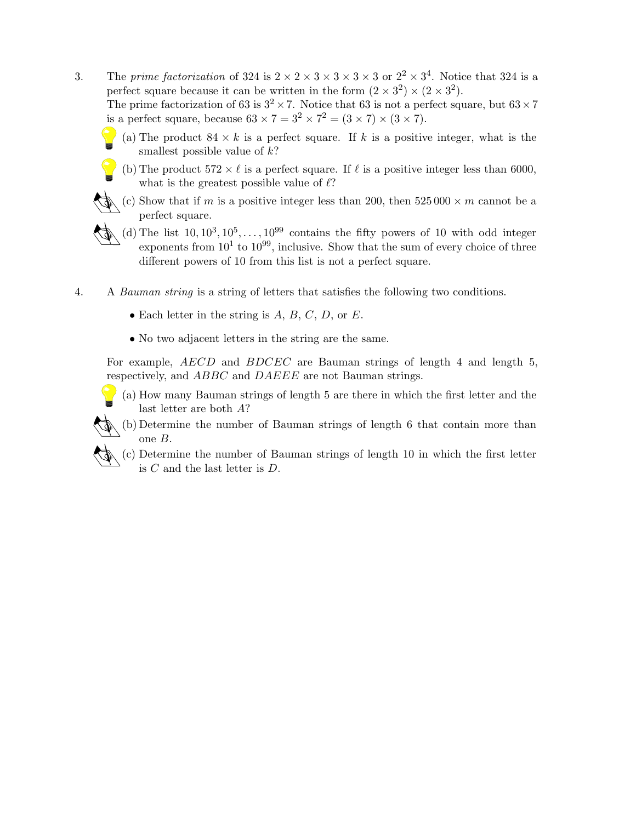3. The prime factorization of 324 is  $2 \times 2 \times 3 \times 3 \times 3 \times 3 \times 3$  or  $2^2 \times 3^4$ . Notice that 324 is a perfect square because it can be written in the form  $(2 \times 3^2) \times (2 \times 3^2)$ .

The prime factorization of 63 is  $3^2 \times 7$ . Notice that 63 is not a perfect square, but  $63 \times 7$ is a perfect square, because  $63 \times 7 = 3^2 \times 7^2 = (3 \times 7) \times (3 \times 7)$ .

- (a) The product  $84 \times k$  is a perfect square. If k is a positive integer, what is the smallest possible value of  $k$ ?
- (b) The product  $572 \times \ell$  is a perfect square. If  $\ell$  is a positive integer less than 6000, what is the greatest possible value of  $\ell$ ?
- (c) Show that if m is a positive integer less than 200, then  $525\,000 \times m$  cannot be a perfect square.
- (d) The list  $10, 10^3, 10^5, \ldots, 10^{99}$  contains the fifty powers of 10 with odd integer exponents from  $10^1$  to  $10^{99}$ , inclusive. Show that the sum of every choice of three different powers of 10 from this list is not a perfect square.
- 4. A Bauman string is a string of letters that satisfies the following two conditions.
	- Each letter in the string is  $A, B, C, D$ , or  $E$ .
	- No two adjacent letters in the string are the same.

For example, AECD and BDCEC are Bauman strings of length 4 and length 5, respectively, and ABBC and DAEEE are not Bauman strings.

- (a) How many Bauman strings of length 5 are there in which the first letter and the last letter are both A?
- (b) Determine the number of Bauman strings of length 6 that contain more than one B.
	- (c) Determine the number of Bauman strings of length 10 in which the first letter is C and the last letter is D.